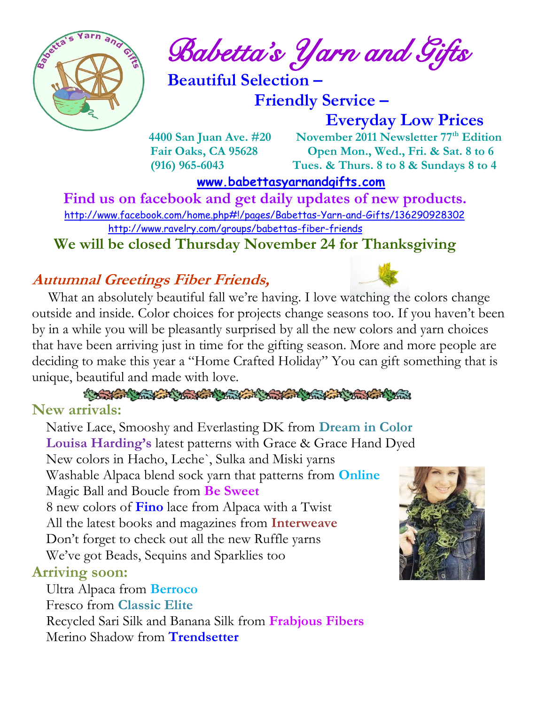

 $\int_{a}^{\frac{1}{2}} \mathbf{A} \mathbf{B}^{\frac{1}{2}}$  Babetta's Yarn and Gifts

 **Beautiful Selection –**

 **Friendly Service –**

 **Everyday Low Prices**

 **4400 San Juan Ave. #20** November 2011 Newsletter  $77<sup>th</sup>$  Edition  **Fair Oaks, CA 95628 Open Mon., Wed., Fri. & Sat. 8 to 6 (916) 965-6043 Tues. & Thurs. 8 to 8 & Sundays 8 to 4** 

 **[www.babettasyarnandgifts.com](http://www.babettasyarnandgifts.com/)**

 **Find us on facebook and get daily updates of new products.**  <http://www.facebook.com/home.php#!/pages/Babettas-Yarn-and-Gifts/136290928302> <http://www.ravelry.com/groups/babettas-fiber-friends>

**We will be closed Thursday November 24 for Thanksgiving** 

#### **Autumnal Greetings Fiber Friends,**

What an absolutely beautiful fall we're having. I love watching the colors change outside and inside. Color choices for projects change seasons too. If you haven't been by in a while you will be pleasantly surprised by all the new colors and yarn choices that have been arriving just in time for the gifting season. More and more people are deciding to make this year a "Home Crafted Holiday" You can gift something that is unique, beautiful and made with love.

CONTRACTOR CHARGE CONTRACTOR CONTRACTOR **New arrivals:**

 Native Lace, Smooshy and Everlasting DK from **Dream in Color Louisa Harding's** latest patterns with Grace & Grace Hand Dyed New colors in Hacho, Leche`, Sulka and Miski yarns Washable Alpaca blend sock yarn that patterns from **Online** Magic Ball and Boucle from **Be Sweet** 8 new colors of **Fino** lace from Alpaca with a Twist All the latest books and magazines from **Interweave** Don't forget to check out all the new Ruffle yarns We've got Beads, Sequins and Sparklies too

#### **Arriving soon:**

 Ultra Alpaca from **Berroco** Fresco from **Classic Elite** Recycled Sari Silk and Banana Silk from **Frabjous Fibers**





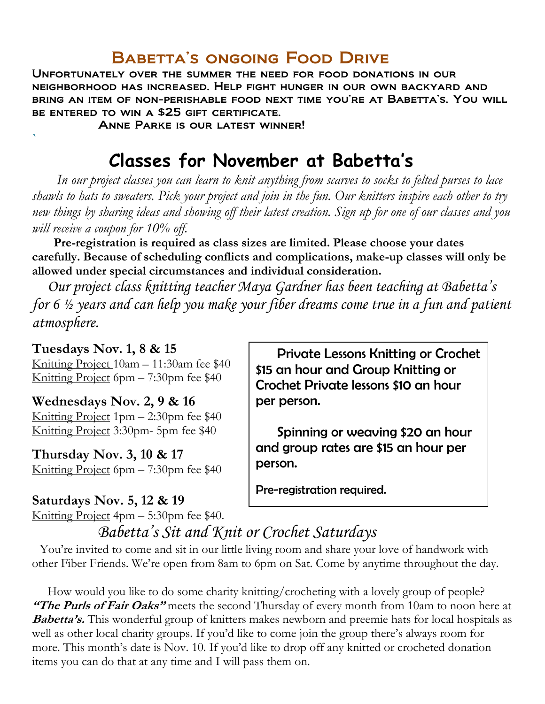### Babetta's ongoing Food Drive

Unfortunately over the summer the need for food donations in our neighborhood has increased. Help fight hunger in our own backyard and bring an item of non-perishable food next time you're at Babetta's. You will be entered to win a \$25 gift certificate.

Anne Parke is our latest winner!

# **Classes for November at Babetta's**

 *In our project classes you can learn to knit anything from scarves to socks to felted purses to lace shawls to hats to sweaters. Pick your project and join in the fun. Our knitters inspire each other to try new things by sharing ideas and showing off their latest creation. Sign up for one of our classes and you will receive a coupon for 10% off.*

 **Pre-registration is required as class sizes are limited. Please choose your dates carefully. Because of scheduling conflicts and complications, make-up classes will only be allowed under special circumstances and individual consideration.**

*Our project class knitting teacher Maya Gardner has been teaching at Babetta's for 6 ½ years and can help you make your fiber dreams come true in a fun and patient atmosphere.*

#### **Tuesdays Nov. 1, 8 & 15**

**`**

Knitting Project 10am – 11:30am fee \$40 Knitting Project 6pm – 7:30pm fee \$40

#### **Wednesdays Nov. 2, 9 & 16**

Knitting Project 1pm – 2:30pm fee \$40 Knitting Project 3:30pm- 5pm fee \$40

**Thursday Nov. 3, 10 & 17** Knitting Project 6pm – 7:30pm fee \$40

#### **Saturdays Nov. 5, 12 & 19**

Knitting Project 4pm – 5:30pm fee \$40.

 Private Lessons Knitting or Crochet \$15 an hour and Group Knitting or Crochet Private lessons \$10 an hour per person.

 Spinning or weaving \$20 an hour and group rates are \$15 an hour per person.

Pre-registration required.

# *Babetta's Sit and Knit or Crochet Saturdays*

 You're invited to come and sit in our little living room and share your love of handwork with other Fiber Friends. We're open from 8am to 6pm on Sat. Come by anytime throughout the day.

 How would you like to do some charity knitting/crocheting with a lovely group of people? **"The Purls of Fair Oaks"** meets the second Thursday of every month from 10am to noon here at **Babetta's.** This wonderful group of knitters makes newborn and preemie hats for local hospitals as well as other local charity groups. If you'd like to come join the group there's always room for more. This month's date is Nov. 10. If you'd like to drop off any knitted or crocheted donation items you can do that at any time and I will pass them on.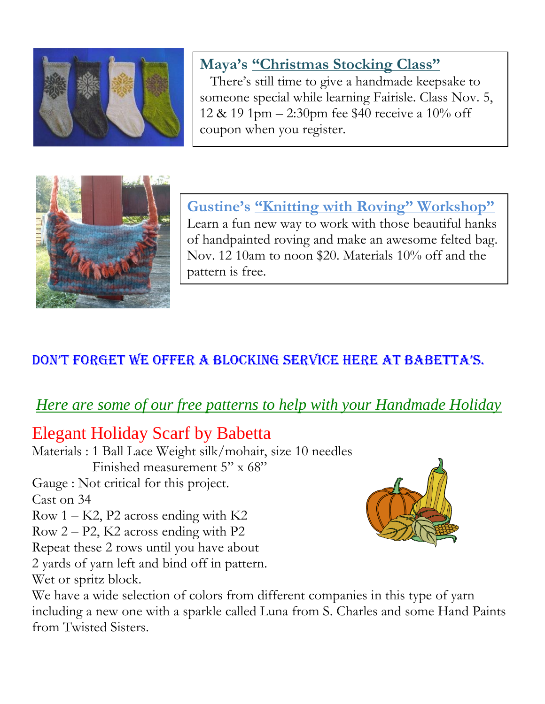

# **Maya's "Christmas Stocking Class"**

There's still time to give a handmade keepsake to someone special while learning Fairisle. Class Nov. 5, 12 & 19 1pm – 2:30pm fee \$40 receive a 10% off coupon when you register.



**Gustine's "Knitting with Roving" Workshop"** Learn a fun new way to work with those beautiful hanks of handpainted roving and make an awesome felted bag. Nov. 12 10am to noon \$20. Materials 10% off and the pattern is free.

## don't forget we offer a blocking service here at babetta's.

# *Here are some of our free patterns to help with your Handmade Holiday*

# Elegant Holiday Scarf by Babetta

Materials : 1 Ball Lace Weight silk/mohair, size 10 needles Finished measurement 5" x 68" Gauge : Not critical for this project. Cast on 34 Row  $1 - K2$ , P2 across ending with  $K2$ Row 2 – P2, K2 across ending with P2 Repeat these 2 rows until you have about 2 yards of yarn left and bind off in pattern. Wet or spritz block.



We have a wide selection of colors from different companies in this type of yarn including a new one with a sparkle called Luna from S. Charles and some Hand Paints from Twisted Sisters.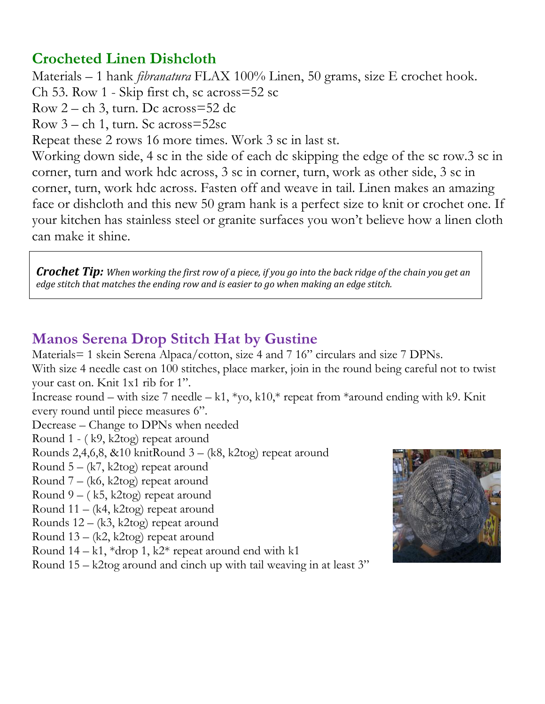### **Crocheted Linen Dishcloth**

Materials – 1 hank *fibranatura* FLAX 100% Linen, 50 grams, size E crochet hook. Ch 53. Row 1 - Skip first ch, sc across=52 sc Row 2 – ch 3, turn. Dc across=52 dc Row 3 – ch 1, turn. Sc across=52sc Repeat these 2 rows 16 more times. Work 3 sc in last st. Working down side, 4 sc in the side of each dc skipping the edge of the sc row.3 sc in corner, turn and work hdc across, 3 sc in corner, turn, work as other side, 3 sc in corner, turn, work hdc across. Fasten off and weave in tail. Linen makes an amazing face or dishcloth and this new 50 gram hank is a perfect size to knit or crochet one. If your kitchen has stainless steel or granite surfaces you won't believe how a linen cloth can make it shine.

*Crochet Tip: When working the first row of a piece, if you go into the back ridge of the chain you get an edge stitch that matches the ending row and is easier to go when making an edge stitch.*

### **Manos Serena Drop Stitch Hat by Gustine**

Materials= 1 skein Serena Alpaca/cotton, size 4 and 7 16" circulars and size 7 DPNs. With size 4 needle cast on 100 stitches, place marker, join in the round being careful not to twist your cast on. Knit 1x1 rib for 1".

Increase round – with size 7 needle – k1, \*yo, k10,\* repeat from \*around ending with k9. Knit every round until piece measures 6".

Decrease – Change to DPNs when needed

Round 1 - ( k9, k2tog) repeat around

Rounds 2,4,6,8, &10 knitRound 3 – (k8, k2tog) repeat around

Round  $5 - (k7, k2$ tog) repeat around

Round 7 – (k6, k2tog) repeat around

Round  $9 - (k5, k2tog)$  repeat around

Round 11 – (k4, k2tog) repeat around

Rounds 12 – (k3, k2tog) repeat around

Round 13 – (k2, k2tog) repeat around

Round  $14 - k1$ , \*drop 1, k2\* repeat around end with k1

Round 15 – k2tog around and cinch up with tail weaving in at least 3"